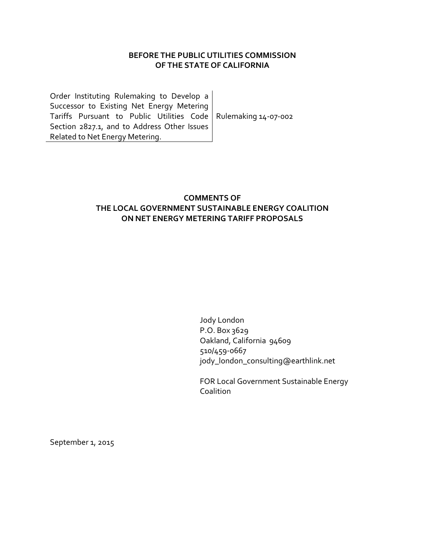## **BEFORE THE PUBLIC UTILITIES COMMISSION OF THE STATE OF CALIFORNIA**

Order Instituting Rulemaking to Develop a Successor to Existing Net Energy Metering Tariffs Pursuant to Public Utilities Code Rulemaking 14-07-002 Section 2827.1, and to Address Other Issues Related to Net Energy Metering.

# **COMMENTS OF THE LOCAL GOVERNMENT SUSTAINABLE ENERGY COALITION ON NET ENERGY METERING TARIFF PROPOSALS**

Jody London P.O. Box 3629 Oakland, California 94609 510/459-0667 jody\_london\_consulting@earthlink.net

FOR Local Government Sustainable Energy Coalition

September 1, 2015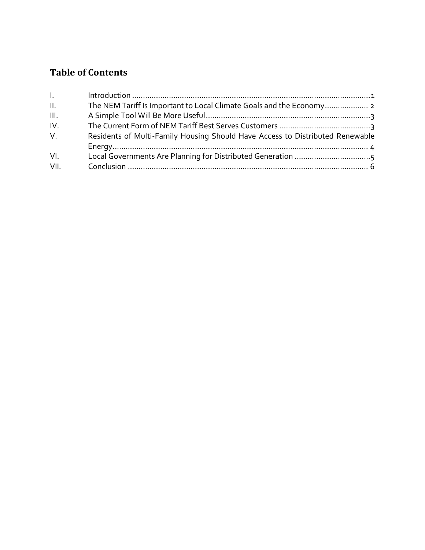# **Table of Contents**

| $\mathbf{L}$    |                                                                               |
|-----------------|-------------------------------------------------------------------------------|
| $\mathbf{II}$ . |                                                                               |
| III.            |                                                                               |
| IV.             |                                                                               |
| $V_{\cdot}$     | Residents of Multi-Family Housing Should Have Access to Distributed Renewable |
|                 |                                                                               |
| VI.             |                                                                               |
| VII.            |                                                                               |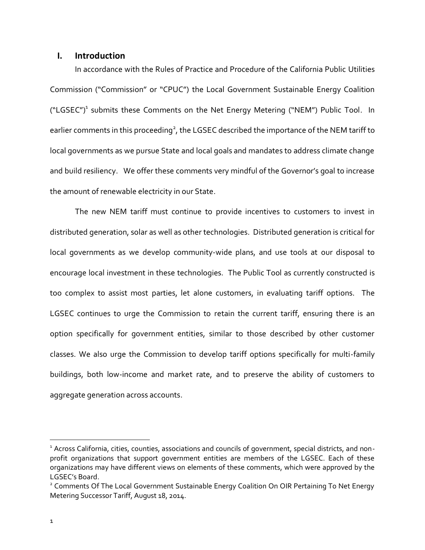#### <span id="page-2-0"></span>**I. Introduction**

In accordance with the Rules of Practice and Procedure of the California Public Utilities Commission ("Commission" or "CPUC") the Local Government Sustainable Energy Coalition ("LGSEC")<sup>1</sup> submits these Comments on the Net Energy Metering ("NEM") Public Tool. In earlier comments in this proceeding<sup>2</sup>, the LGSEC described the importance of the NEM tariff to local governments as we pursue State and local goals and mandates to address climate change and build resiliency. We offer these comments very mindful of the Governor's goal to increase the amount of renewable electricity in our State.

The new NEM tariff must continue to provide incentives to customers to invest in distributed generation, solar as well as other technologies. Distributed generation is critical for local governments as we develop community-wide plans, and use tools at our disposal to encourage local investment in these technologies. The Public Tool as currently constructed is too complex to assist most parties, let alone customers, in evaluating tariff options. The LGSEC continues to urge the Commission to retain the current tariff, ensuring there is an option specifically for government entities, similar to those described by other customer classes. We also urge the Commission to develop tariff options specifically for multi-family buildings, both low-income and market rate, and to preserve the ability of customers to aggregate generation across accounts.

 $\ddot{\phantom{a}}$ 

<sup>&</sup>lt;sup>1</sup> Across California, cities, counties, associations and councils of government, special districts, and nonprofit organizations that support government entities are members of the LGSEC. Each of these organizations may have different views on elements of these comments, which were approved by the LGSEC's Board.

<sup>&</sup>lt;sup>2</sup> Comments Of The Local Government Sustainable Energy Coalition On OIR Pertaining To Net Energy Metering Successor Tariff, August 18, 2014.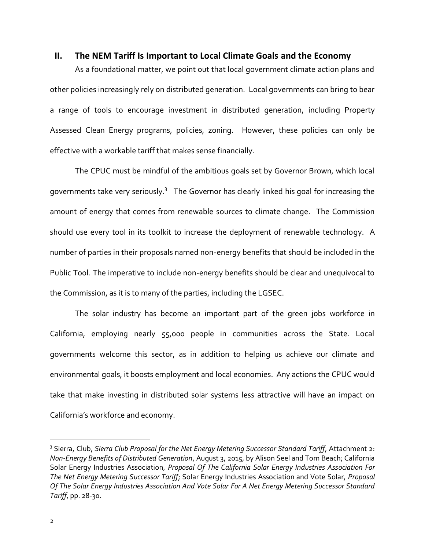#### <span id="page-3-0"></span>**II. The NEM Tariff Is Important to Local Climate Goals and the Economy**

As a foundational matter, we point out that local government climate action plans and other policies increasingly rely on distributed generation. Local governments can bring to bear a range of tools to encourage investment in distributed generation, including Property Assessed Clean Energy programs, policies, zoning. However, these policies can only be effective with a workable tariff that makes sense financially.

The CPUC must be mindful of the ambitious goals set by Governor Brown, which local governments take very seriously. $^3$  The Governor has clearly linked his goal for increasing the amount of energy that comes from renewable sources to climate change. The Commission should use every tool in its toolkit to increase the deployment of renewable technology. A number of parties in their proposals named non-energy benefits that should be included in the Public Tool. The imperative to include non-energy benefits should be clear and unequivocal to the Commission, as it is to many of the parties, including the LGSEC.

The solar industry has become an important part of the green jobs workforce in California, employing nearly 55,000 people in communities across the State. Local governments welcome this sector, as in addition to helping us achieve our climate and environmental goals, it boosts employment and local economies. Any actions the CPUC would take that make investing in distributed solar systems less attractive will have an impact on California's workforce and economy.

 $\ddot{\phantom{a}}$ 

<sup>3</sup> Sierra, Club, *Sierra Club Proposal for the Net Energy Metering Successor Standard Tariff*, Attachment 2: *Non-Energy Benefits of Distributed Generation*, August 3, 2015, by Alison Seel and Tom Beach; California Solar Energy Industries Association, *Proposal Of The California Solar Energy Industries Association For The Net Energy Metering Successor Tariff*; Solar Energy Industries Association and Vote Solar, *Proposal Of The Solar Energy Industries Association And Vote Solar For A Net Energy Metering Successor Standard Tariff*, pp. 28-30.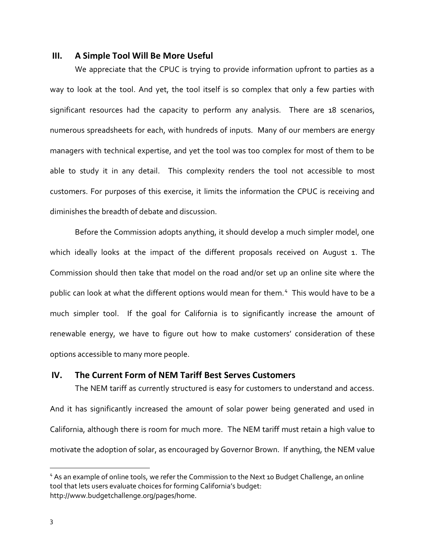#### <span id="page-4-0"></span>**III. A Simple Tool Will Be More Useful**

We appreciate that the CPUC is trying to provide information upfront to parties as a way to look at the tool. And yet, the tool itself is so complex that only a few parties with significant resources had the capacity to perform any analysis. There are 18 scenarios, numerous spreadsheets for each, with hundreds of inputs. Many of our members are energy managers with technical expertise, and yet the tool was too complex for most of them to be able to study it in any detail. This complexity renders the tool not accessible to most customers. For purposes of this exercise, it limits the information the CPUC is receiving and diminishes the breadth of debate and discussion.

Before the Commission adopts anything, it should develop a much simpler model, one which ideally looks at the impact of the different proposals received on August 1. The Commission should then take that model on the road and/or set up an online site where the public can look at what the different options would mean for them.<sup>4</sup> This would have to be a much simpler tool. If the goal for California is to significantly increase the amount of renewable energy, we have to figure out how to make customers' consideration of these options accessible to many more people.

### <span id="page-4-1"></span>**IV. The Current Form of NEM Tariff Best Serves Customers**

The NEM tariff as currently structured is easy for customers to understand and access. And it has significantly increased the amount of solar power being generated and used in California, although there is room for much more. The NEM tariff must retain a high value to motivate the adoption of solar, as encouraged by Governor Brown. If anything, the NEM value

 $\overline{a}$ 

<sup>&</sup>lt;sup>4</sup> As an example of online tools, we refer the Commission to the Next 10 Budget Challenge, an online tool that lets users evaluate choices for forming California's budget: http://www.budgetchallenge.org/pages/home.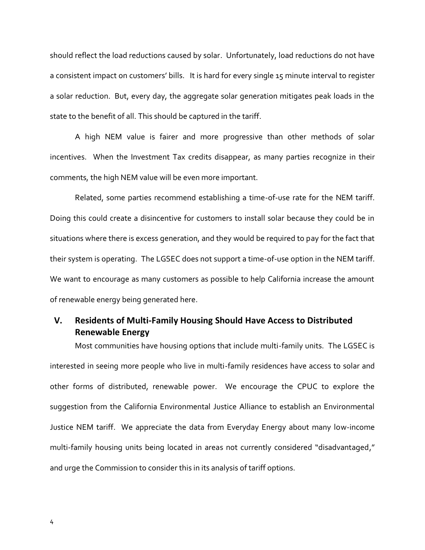should reflect the load reductions caused by solar. Unfortunately, load reductions do not have a consistent impact on customers' bills. It is hard for every single 15 minute interval to register a solar reduction. But, every day, the aggregate solar generation mitigates peak loads in the state to the benefit of all. This should be captured in the tariff.

A high NEM value is fairer and more progressive than other methods of solar incentives. When the Investment Tax credits disappear, as many parties recognize in their comments, the high NEM value will be even more important.

Related, some parties recommend establishing a time-of-use rate for the NEM tariff. Doing this could create a disincentive for customers to install solar because they could be in situations where there is excess generation, and they would be required to pay for the fact that their system is operating. The LGSEC does not support a time-of-use option in the NEM tariff. We want to encourage as many customers as possible to help California increase the amount of renewable energy being generated here.

# <span id="page-5-0"></span>**V. Residents of Multi-Family Housing Should Have Access to Distributed Renewable Energy**

Most communities have housing options that include multi-family units. The LGSEC is interested in seeing more people who live in multi-family residences have access to solar and other forms of distributed, renewable power. We encourage the CPUC to explore the suggestion from the California Environmental Justice Alliance to establish an Environmental Justice NEM tariff. We appreciate the data from Everyday Energy about many low-income multi-family housing units being located in areas not currently considered "disadvantaged," and urge the Commission to consider this in its analysis of tariff options.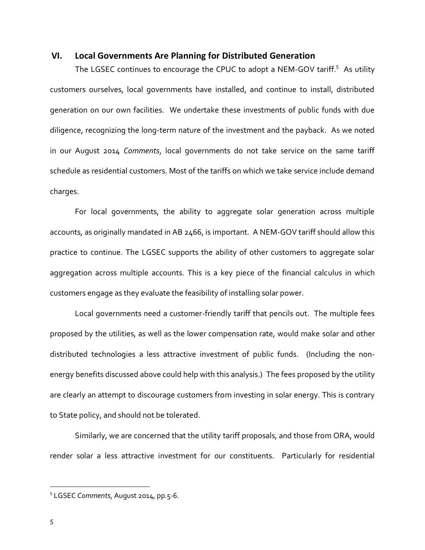#### <span id="page-6-0"></span>**VI. Local Governments Are Planning for Distributed Generation**

The LGSEC continues to encourage the CPUC to adopt a NEM-GOV tariff.<sup>5</sup> As utility customers ourselves, local governments have installed, and continue to install, distributed generation on our own facilities. We undertake these investments of public funds with due diligence, recognizing the long-term nature of the investment and the payback. As we noted in our August 2014 *Comments*, local governments do not take service on the same tariff schedule as residential customers. Most of the tariffs on which we take service include demand charges.

For local governments, the ability to aggregate solar generation across multiple accounts, as originally mandated in AB 2466, is important. A NEM-GOV tariff should allow this practice to continue. The LGSEC supports the ability of other customers to aggregate solar aggregation across multiple accounts. This is a key piece of the financial calculus in which customers engage as they evaluate the feasibility of installing solar power.

Local governments need a customer-friendly tariff that pencils out. The multiple fees proposed by the utilities, as well as the lower compensation rate, would make solar and other distributed technologies a less attractive investment of public funds. (Including the nonenergy benefits discussed above could help with this analysis.) The fees proposed by the utility are clearly an attempt to discourage customers from investing in solar energy. This is contrary to State policy, and should not be tolerated.

Similarly, we are concerned that the utility tariff proposals, and those from ORA, would render solar a less attractive investment for our constituents. Particularly for residential

 $\overline{a}$ 

<sup>5</sup> LGSEC *Comments*, August 2014, pp.5-6.